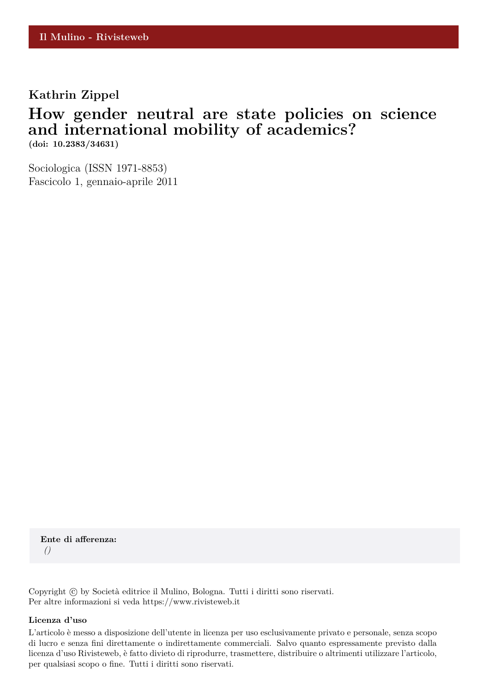## **Kathrin Zippel**

## **How gender neutral are state policies on science and international mobility of academics?**

**(doi: 10.2383/34631)**

Sociologica (ISSN 1971-8853) Fascicolo 1, gennaio-aprile 2011

**Ente di afferenza:** *()*

Copyright © by Società editrice il Mulino, Bologna. Tutti i diritti sono riservati. Per altre informazioni si veda https://www.rivisteweb.it

#### **Licenza d'uso**

L'articolo è messo a disposizione dell'utente in licenza per uso esclusivamente privato e personale, senza scopo di lucro e senza fini direttamente o indirettamente commerciali. Salvo quanto espressamente previsto dalla licenza d'uso Rivisteweb, è fatto divieto di riprodurre, trasmettere, distribuire o altrimenti utilizzare l'articolo, per qualsiasi scopo o fine. Tutti i diritti sono riservati.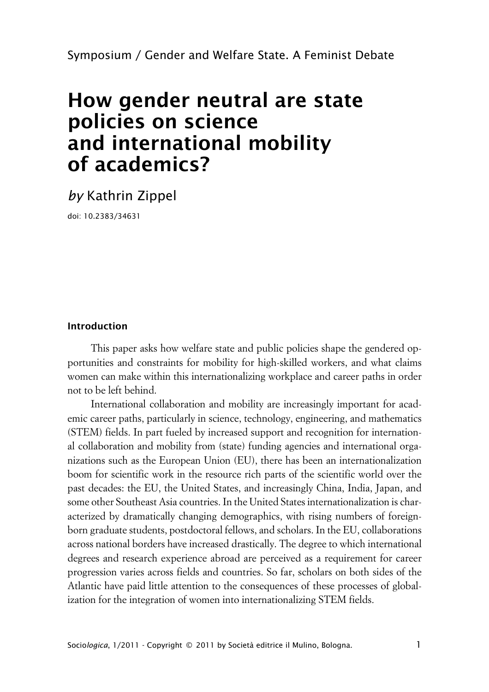Symposium / Gender and Welfare State. A Feminist Debate

# **How gender neutral are state policies on science and international mobility of academics?**

*by* Kathrin Zippel

doi: 10.2383/34631

#### **Introduction**

This paper asks how welfare state and public policies shape the gendered opportunities and constraints for mobility for high-skilled workers, and what claims women can make within this internationalizing workplace and career paths in order not to be left behind.

International collaboration and mobility are increasingly important for academic career paths, particularly in science, technology, engineering, and mathematics (STEM) fields. In part fueled by increased support and recognition for international collaboration and mobility from (state) funding agencies and international organizations such as the European Union (EU), there has been an internationalization boom for scientific work in the resource rich parts of the scientific world over the past decades: the EU, the United States, and increasingly China, India, Japan, and some other Southeast Asia countries. In the United States internationalization is characterized by dramatically changing demographics, with rising numbers of foreignborn graduate students, postdoctoral fellows, and scholars. In the EU, collaborations across national borders have increased drastically. The degree to which international degrees and research experience abroad are perceived as a requirement for career progression varies across fields and countries. So far, scholars on both sides of the Atlantic have paid little attention to the consequences of these processes of globalization for the integration of women into internationalizing STEM fields.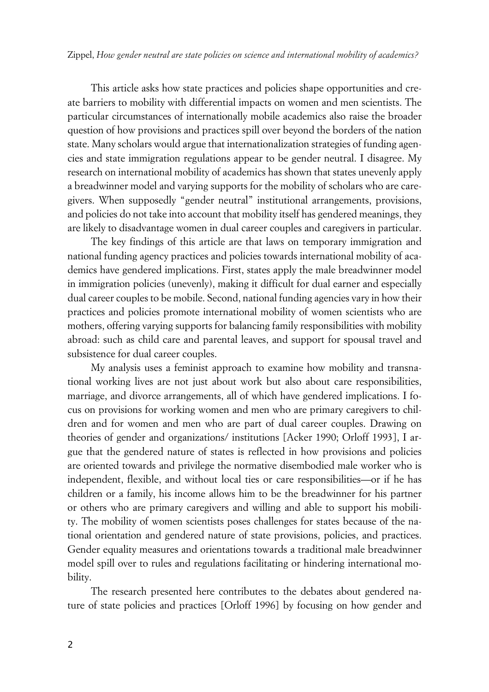This article asks how state practices and policies shape opportunities and create barriers to mobility with differential impacts on women and men scientists. The particular circumstances of internationally mobile academics also raise the broader question of how provisions and practices spill over beyond the borders of the nation state. Many scholars would argue that internationalization strategies of funding agencies and state immigration regulations appear to be gender neutral. I disagree. My research on international mobility of academics has shown that states unevenly apply a breadwinner model and varying supports for the mobility of scholars who are caregivers. When supposedly "gender neutral" institutional arrangements, provisions, and policies do not take into account that mobility itself has gendered meanings, they are likely to disadvantage women in dual career couples and caregivers in particular.

The key findings of this article are that laws on temporary immigration and national funding agency practices and policies towards international mobility of academics have gendered implications. First, states apply the male breadwinner model in immigration policies (unevenly), making it difficult for dual earner and especially dual career couples to be mobile. Second, national funding agencies vary in how their practices and policies promote international mobility of women scientists who are mothers, offering varying supports for balancing family responsibilities with mobility abroad: such as child care and parental leaves, and support for spousal travel and subsistence for dual career couples.

My analysis uses a feminist approach to examine how mobility and transnational working lives are not just about work but also about care responsibilities, marriage, and divorce arrangements, all of which have gendered implications. I focus on provisions for working women and men who are primary caregivers to children and for women and men who are part of dual career couples. Drawing on theories of gender and organizations/ institutions [Acker 1990; Orloff 1993], I argue that the gendered nature of states is reflected in how provisions and policies are oriented towards and privilege the normative disembodied male worker who is independent, flexible, and without local ties or care responsibilities—or if he has children or a family, his income allows him to be the breadwinner for his partner or others who are primary caregivers and willing and able to support his mobility. The mobility of women scientists poses challenges for states because of the national orientation and gendered nature of state provisions, policies, and practices. Gender equality measures and orientations towards a traditional male breadwinner model spill over to rules and regulations facilitating or hindering international mobility.

The research presented here contributes to the debates about gendered nature of state policies and practices [Orloff 1996] by focusing on how gender and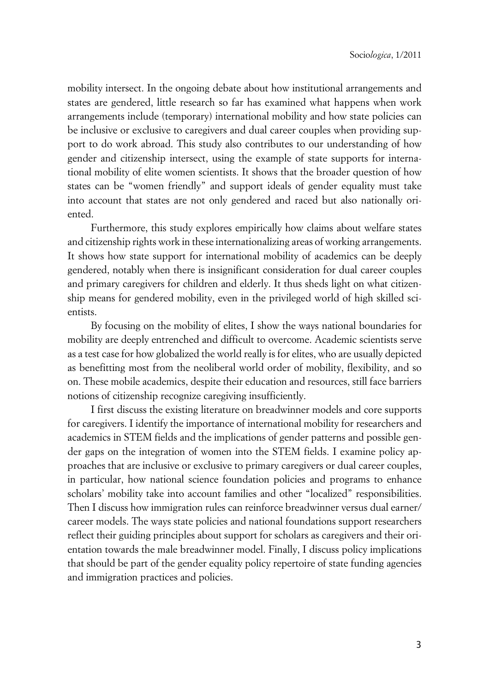mobility intersect. In the ongoing debate about how institutional arrangements and states are gendered, little research so far has examined what happens when work arrangements include (temporary) international mobility and how state policies can be inclusive or exclusive to caregivers and dual career couples when providing support to do work abroad. This study also contributes to our understanding of how gender and citizenship intersect, using the example of state supports for international mobility of elite women scientists. It shows that the broader question of how states can be "women friendly" and support ideals of gender equality must take into account that states are not only gendered and raced but also nationally oriented.

Furthermore, this study explores empirically how claims about welfare states and citizenship rights work in these internationalizing areas of working arrangements. It shows how state support for international mobility of academics can be deeply gendered, notably when there is insignificant consideration for dual career couples and primary caregivers for children and elderly. It thus sheds light on what citizenship means for gendered mobility, even in the privileged world of high skilled scientists.

By focusing on the mobility of elites, I show the ways national boundaries for mobility are deeply entrenched and difficult to overcome. Academic scientists serve as a test case for how globalized the world really is for elites, who are usually depicted as benefitting most from the neoliberal world order of mobility, flexibility, and so on. These mobile academics, despite their education and resources, still face barriers notions of citizenship recognize caregiving insufficiently.

I first discuss the existing literature on breadwinner models and core supports for caregivers. I identify the importance of international mobility for researchers and academics in STEM fields and the implications of gender patterns and possible gender gaps on the integration of women into the STEM fields. I examine policy approaches that are inclusive or exclusive to primary caregivers or dual career couples, in particular, how national science foundation policies and programs to enhance scholars' mobility take into account families and other "localized" responsibilities. Then I discuss how immigration rules can reinforce breadwinner versus dual earner/ career models. The ways state policies and national foundations support researchers reflect their guiding principles about support for scholars as caregivers and their orientation towards the male breadwinner model. Finally, I discuss policy implications that should be part of the gender equality policy repertoire of state funding agencies and immigration practices and policies.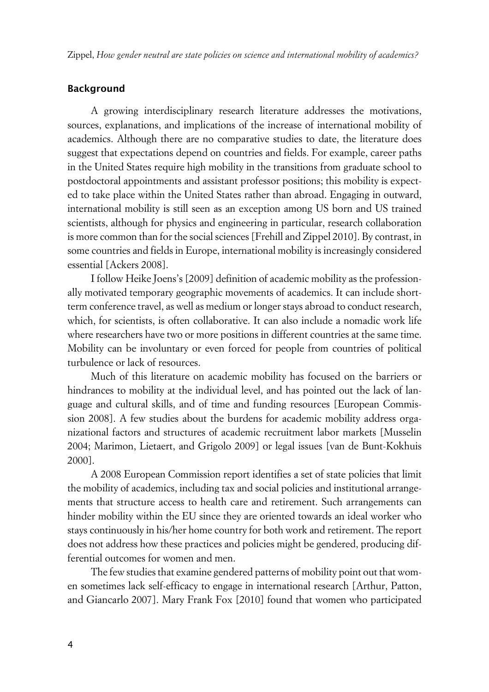Zippel, *How gender neutral are state policies on science and international mobility of academics?*

### **Background**

A growing interdisciplinary research literature addresses the motivations, sources, explanations, and implications of the increase of international mobility of academics. Although there are no comparative studies to date, the literature does suggest that expectations depend on countries and fields. For example, career paths in the United States require high mobility in the transitions from graduate school to postdoctoral appointments and assistant professor positions; this mobility is expected to take place within the United States rather than abroad. Engaging in outward, international mobility is still seen as an exception among US born and US trained scientists, although for physics and engineering in particular, research collaboration is more common than for the social sciences [Frehill and Zippel 2010]. By contrast, in some countries and fields in Europe, international mobility is increasingly considered essential [Ackers 2008].

I follow Heike Joens's [2009] definition of academic mobility as the professionally motivated temporary geographic movements of academics. It can include shortterm conference travel, as well as medium or longer stays abroad to conduct research, which, for scientists, is often collaborative. It can also include a nomadic work life where researchers have two or more positions in different countries at the same time. Mobility can be involuntary or even forced for people from countries of political turbulence or lack of resources.

Much of this literature on academic mobility has focused on the barriers or hindrances to mobility at the individual level, and has pointed out the lack of language and cultural skills, and of time and funding resources [European Commission 2008]. A few studies about the burdens for academic mobility address organizational factors and structures of academic recruitment labor markets [Musselin 2004; Marimon, Lietaert, and Grigolo 2009] or legal issues [van de Bunt-Kokhuis 2000].

A 2008 European Commission report identifies a set of state policies that limit the mobility of academics, including tax and social policies and institutional arrangements that structure access to health care and retirement. Such arrangements can hinder mobility within the EU since they are oriented towards an ideal worker who stays continuously in his/her home country for both work and retirement. The report does not address how these practices and policies might be gendered, producing differential outcomes for women and men.

The few studies that examine gendered patterns of mobility point out that women sometimes lack self-efficacy to engage in international research [Arthur, Patton, and Giancarlo 2007]. Mary Frank Fox [2010] found that women who participated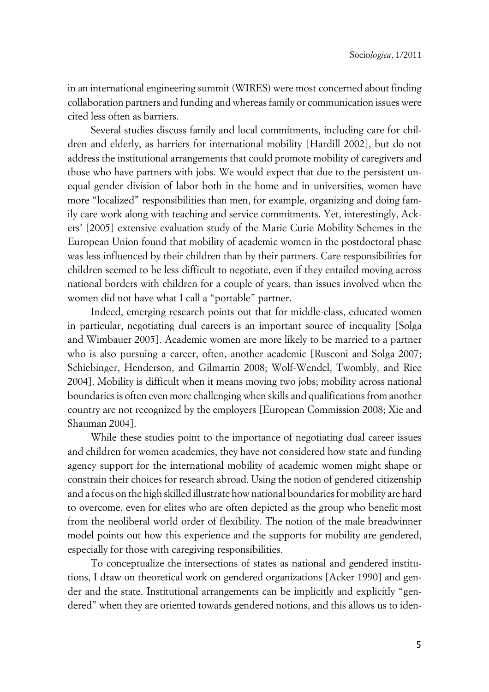in an international engineering summit (WIRES) were most concerned about finding collaboration partners and funding and whereas family or communication issues were cited less often as barriers.

Several studies discuss family and local commitments, including care for children and elderly, as barriers for international mobility [Hardill 2002], but do not address the institutional arrangements that could promote mobility of caregivers and those who have partners with jobs. We would expect that due to the persistent unequal gender division of labor both in the home and in universities, women have more "localized" responsibilities than men, for example, organizing and doing family care work along with teaching and service commitments. Yet, interestingly, Ackers' [2005] extensive evaluation study of the Marie Curie Mobility Schemes in the European Union found that mobility of academic women in the postdoctoral phase was less influenced by their children than by their partners. Care responsibilities for children seemed to be less difficult to negotiate, even if they entailed moving across national borders with children for a couple of years, than issues involved when the women did not have what I call a "portable" partner.

Indeed, emerging research points out that for middle-class, educated women in particular, negotiating dual careers is an important source of inequality [Solga and Wimbauer 2005]. Academic women are more likely to be married to a partner who is also pursuing a career, often, another academic [Rusconi and Solga 2007; Schiebinger, Henderson, and Gilmartin 2008; Wolf-Wendel, Twombly, and Rice 2004]. Mobility is difficult when it means moving two jobs; mobility across national boundaries is often even more challenging when skills and qualifications from another country are not recognized by the employers [European Commission 2008; Xie and Shauman 2004].

While these studies point to the importance of negotiating dual career issues and children for women academics, they have not considered how state and funding agency support for the international mobility of academic women might shape or constrain their choices for research abroad. Using the notion of gendered citizenship and a focus on the high skilled illustrate how national boundaries for mobility are hard to overcome, even for elites who are often depicted as the group who benefit most from the neoliberal world order of flexibility. The notion of the male breadwinner model points out how this experience and the supports for mobility are gendered, especially for those with caregiving responsibilities.

To conceptualize the intersections of states as national and gendered institutions, I draw on theoretical work on gendered organizations [Acker 1990] and gender and the state. Institutional arrangements can be implicitly and explicitly "gendered" when they are oriented towards gendered notions, and this allows us to iden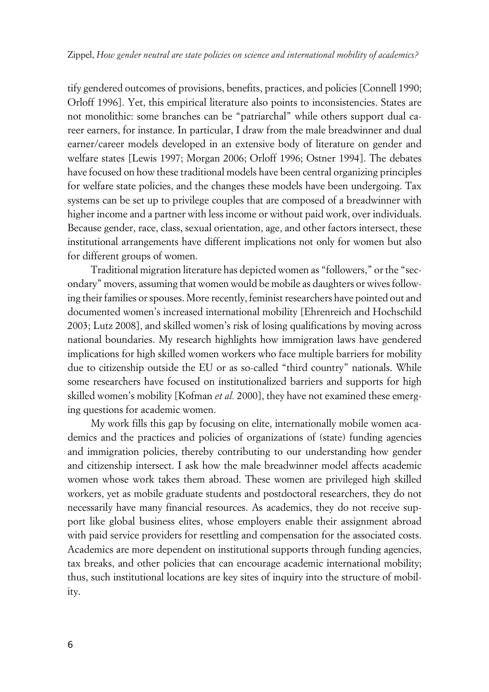tify gendered outcomes of provisions, benefits, practices, and policies [Connell 1990; Orloff 1996]. Yet, this empirical literature also points to inconsistencies. States are not monolithic: some branches can be "patriarchal" while others support dual career earners, for instance. In particular, I draw from the male breadwinner and dual earner/career models developed in an extensive body of literature on gender and welfare states [Lewis 1997; Morgan 2006; Orloff 1996; Ostner 1994]. The debates have focused on how these traditional models have been central organizing principles for welfare state policies, and the changes these models have been undergoing. Tax systems can be set up to privilege couples that are composed of a breadwinner with higher income and a partner with less income or without paid work, over individuals. Because gender, race, class, sexual orientation, age, and other factors intersect, these institutional arrangements have different implications not only for women but also for different groups of women.

Traditional migration literature has depicted women as "followers," or the "secondary" movers, assuming that women would be mobile as daughters or wives following their families or spouses. More recently, feminist researchers have pointed out and documented women's increased international mobility [Ehrenreich and Hochschild 2003; Lutz 2008], and skilled women's risk of losing qualifications by moving across national boundaries. My research highlights how immigration laws have gendered implications for high skilled women workers who face multiple barriers for mobility due to citizenship outside the EU or as so-called "third country" nationals. While some researchers have focused on institutionalized barriers and supports for high skilled women's mobility [Kofman *et al.* 2000], they have not examined these emerging questions for academic women.

My work fills this gap by focusing on elite, internationally mobile women academics and the practices and policies of organizations of (state) funding agencies and immigration policies, thereby contributing to our understanding how gender and citizenship intersect. I ask how the male breadwinner model affects academic women whose work takes them abroad. These women are privileged high skilled workers, yet as mobile graduate students and postdoctoral researchers, they do not necessarily have many financial resources. As academics, they do not receive support like global business elites, whose employers enable their assignment abroad with paid service providers for resettling and compensation for the associated costs. Academics are more dependent on institutional supports through funding agencies, tax breaks, and other policies that can encourage academic international mobility; thus, such institutional locations are key sites of inquiry into the structure of mobility.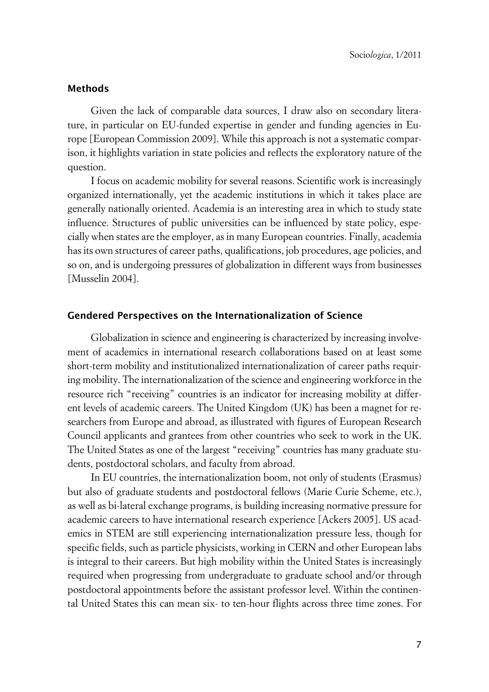#### **xMethods**

Given the lack of comparable data sources, I draw also on secondary literature, in particular on EU-funded expertise in gender and funding agencies in Europe [European Commission 2009]. While this approach is not a systematic comparison, it highlights variation in state policies and reflects the exploratory nature of the question.

I focus on academic mobility for several reasons. Scientific work is increasingly organized internationally, yet the academic institutions in which it takes place are generally nationally oriented. Academia is an interesting area in which to study state influence. Structures of public universities can be influenced by state policy, especially when states are the employer, as in many European countries. Finally, academia has its own structures of career paths, qualifications, job procedures, age policies, and so on, and is undergoing pressures of globalization in different ways from businesses [Musselin 2004].

#### **xGendered Perspectives on the Internationalization of Science**

Globalization in science and engineering is characterized by increasing involvement of academics in international research collaborations based on at least some short-term mobility and institutionalized internationalization of career paths requiring mobility. The internationalization of the science and engineering workforce in the resource rich "receiving" countries is an indicator for increasing mobility at different levels of academic careers. The United Kingdom (UK) has been a magnet for researchers from Europe and abroad, as illustrated with figures of European Research Council applicants and grantees from other countries who seek to work in the UK. The United States as one of the largest "receiving" countries has many graduate students, postdoctoral scholars, and faculty from abroad.

In EU countries, the internationalization boom, not only of students (Erasmus) but also of graduate students and postdoctoral fellows (Marie Curie Scheme, etc.), as well as bi-lateral exchange programs, is building increasing normative pressure for academic careers to have international research experience [Ackers 2005]. US academics in STEM are still experiencing internationalization pressure less, though for specific fields, such as particle physicists, working in CERN and other European labs is integral to their careers. But high mobility within the United States is increasingly required when progressing from undergraduate to graduate school and/or through postdoctoral appointments before the assistant professor level. Within the continental United States this can mean six- to ten-hour flights across three time zones. For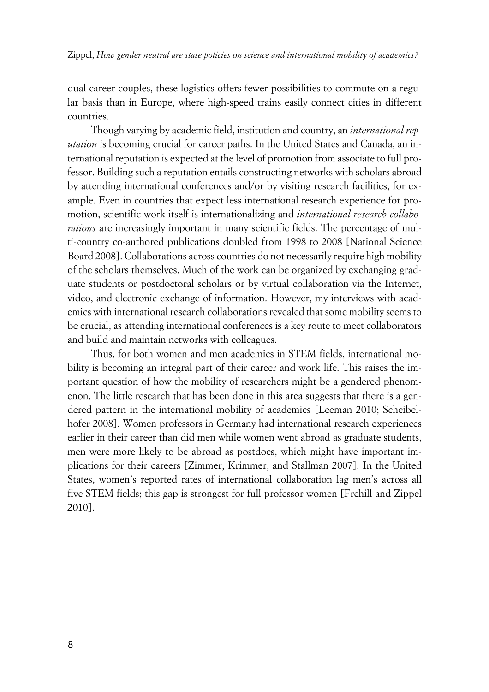dual career couples, these logistics offers fewer possibilities to commute on a regular basis than in Europe, where high-speed trains easily connect cities in different countries.

Though varying by academic field, institution and country, an *international reputation* is becoming crucial for career paths. In the United States and Canada, an international reputation is expected at the level of promotion from associate to full professor. Building such a reputation entails constructing networks with scholars abroad by attending international conferences and/or by visiting research facilities, for example. Even in countries that expect less international research experience for promotion, scientific work itself is internationalizing and *international research collaborations* are increasingly important in many scientific fields. The percentage of multi-country co-authored publications doubled from 1998 to 2008 [National Science Board 2008]. Collaborations across countries do not necessarily require high mobility of the scholars themselves. Much of the work can be organized by exchanging graduate students or postdoctoral scholars or by virtual collaboration via the Internet, video, and electronic exchange of information. However, my interviews with academics with international research collaborations revealed that some mobility seems to be crucial, as attending international conferences is a key route to meet collaborators and build and maintain networks with colleagues.

Thus, for both women and men academics in STEM fields, international mobility is becoming an integral part of their career and work life. This raises the important question of how the mobility of researchers might be a gendered phenomenon. The little research that has been done in this area suggests that there is a gendered pattern in the international mobility of academics [Leeman 2010; Scheibelhofer 2008]. Women professors in Germany had international research experiences earlier in their career than did men while women went abroad as graduate students, men were more likely to be abroad as postdocs, which might have important implications for their careers [Zimmer, Krimmer, and Stallman 2007]. In the United States, women's reported rates of international collaboration lag men's across all five STEM fields; this gap is strongest for full professor women [Frehill and Zippel 2010].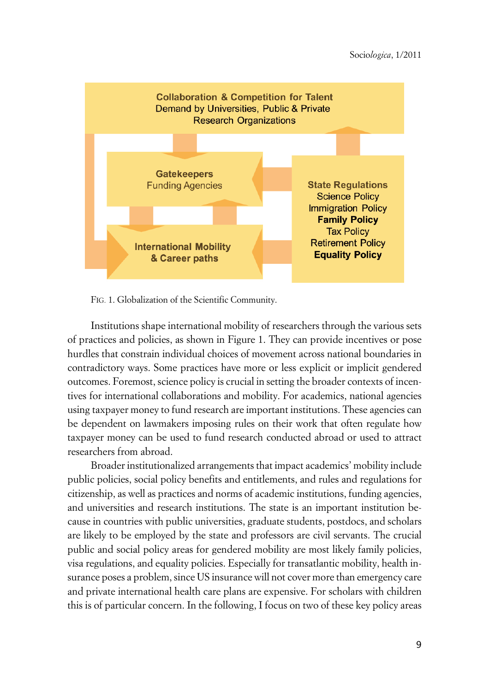

FIG. 1. Globalization of the Scientific Community.

Institutions shape international mobility of researchers through the various sets of practices and policies, as shown in Figure 1. They can provide incentives or pose hurdles that constrain individual choices of movement across national boundaries in contradictory ways. Some practices have more or less explicit or implicit gendered outcomes. Foremost, science policy is crucial in setting the broader contexts of incentives for international collaborations and mobility. For academics, national agencies using taxpayer money to fund research are important institutions. These agencies can be dependent on lawmakers imposing rules on their work that often regulate how taxpayer money can be used to fund research conducted abroad or used to attract researchers from abroad.

Broader institutionalized arrangements that impact academics' mobility include public policies, social policy benefits and entitlements, and rules and regulations for citizenship, as well as practices and norms of academic institutions, funding agencies, and universities and research institutions. The state is an important institution because in countries with public universities, graduate students, postdocs, and scholars are likely to be employed by the state and professors are civil servants. The crucial public and social policy areas for gendered mobility are most likely family policies, visa regulations, and equality policies. Especially for transatlantic mobility, health insurance poses a problem, since US insurance will not cover more than emergency care and private international health care plans are expensive. For scholars with children this is of particular concern. In the following, I focus on two of these key policy areas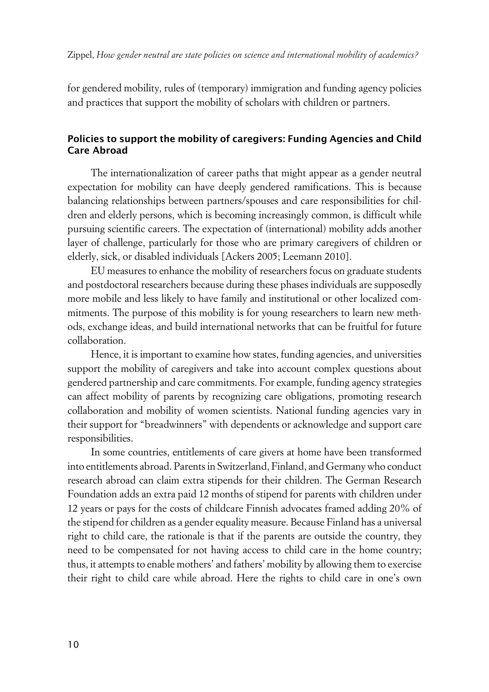for gendered mobility, rules of (temporary) immigration and funding agency policies and practices that support the mobility of scholars with children or partners.

## **xPolicies to support the mobility of caregivers: Funding Agencies and Child Care Abroad**

The internationalization of career paths that might appear as a gender neutral expectation for mobility can have deeply gendered ramifications. This is because balancing relationships between partners/spouses and care responsibilities for children and elderly persons, which is becoming increasingly common, is difficult while pursuing scientific careers. The expectation of (international) mobility adds another layer of challenge, particularly for those who are primary caregivers of children or elderly, sick, or disabled individuals [Ackers 2005; Leemann 2010].

EU measures to enhance the mobility of researchers focus on graduate students and postdoctoral researchers because during these phases individuals are supposedly more mobile and less likely to have family and institutional or other localized commitments. The purpose of this mobility is for young researchers to learn new methods, exchange ideas, and build international networks that can be fruitful for future collaboration.

Hence, it is important to examine how states, funding agencies, and universities support the mobility of caregivers and take into account complex questions about gendered partnership and care commitments. For example, funding agency strategies can affect mobility of parents by recognizing care obligations, promoting research collaboration and mobility of women scientists. National funding agencies vary in their support for "breadwinners" with dependents or acknowledge and support care responsibilities.

In some countries, entitlements of care givers at home have been transformed into entitlements abroad. Parents in Switzerland, Finland, and Germany who conduct research abroad can claim extra stipends for their children. The German Research Foundation adds an extra paid 12 months of stipend for parents with children under 12 years or pays for the costs of childcare Finnish advocates framed adding 20% of the stipend for children as a gender equality measure. Because Finland has a universal right to child care, the rationale is that if the parents are outside the country, they need to be compensated for not having access to child care in the home country; thus, it attempts to enable mothers' and fathers' mobility by allowing them to exercise their right to child care while abroad. Here the rights to child care in one's own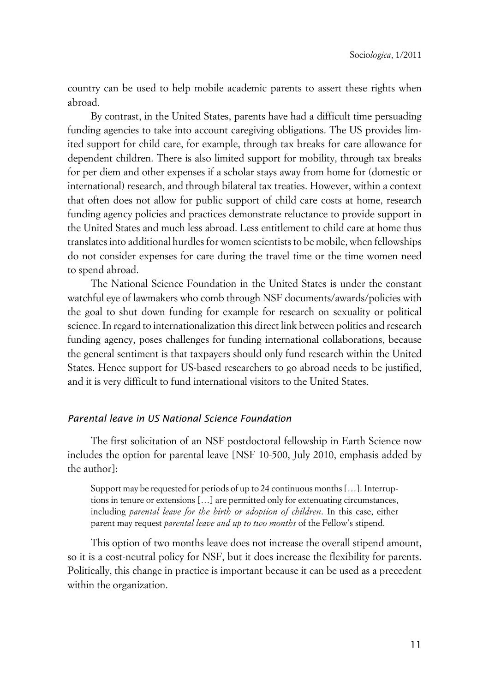country can be used to help mobile academic parents to assert these rights when abroad.

By contrast, in the United States, parents have had a difficult time persuading funding agencies to take into account caregiving obligations. The US provides limited support for child care, for example, through tax breaks for care allowance for dependent children. There is also limited support for mobility, through tax breaks for per diem and other expenses if a scholar stays away from home for (domestic or international) research, and through bilateral tax treaties. However, within a context that often does not allow for public support of child care costs at home, research funding agency policies and practices demonstrate reluctance to provide support in the United States and much less abroad. Less entitlement to child care at home thus translates into additional hurdles for women scientists to be mobile, when fellowships do not consider expenses for care during the travel time or the time women need to spend abroad.

The National Science Foundation in the United States is under the constant watchful eye of lawmakers who comb through NSF documents/awards/policies with the goal to shut down funding for example for research on sexuality or political science. In regard to internationalization this direct link between politics and research funding agency, poses challenges for funding international collaborations, because the general sentiment is that taxpayers should only fund research within the United States. Hence support for US-based researchers to go abroad needs to be justified, and it is very difficult to fund international visitors to the United States.

### x*Parental leave in US National Science Foundation*

The first solicitation of an NSF postdoctoral fellowship in Earth Science now includes the option for parental leave [NSF 10-500, July 2010, emphasis added by the author]:

Support may be requested for periods of up to 24 continuous months […]. Interruptions in tenure or extensions […] are permitted only for extenuating circumstances, including *parental leave for the birth or adoption of children*. In this case, either parent may request *parental leave and up to two months* of the Fellow's stipend.

This option of two months leave does not increase the overall stipend amount, so it is a cost-neutral policy for NSF, but it does increase the flexibility for parents. Politically, this change in practice is important because it can be used as a precedent within the organization.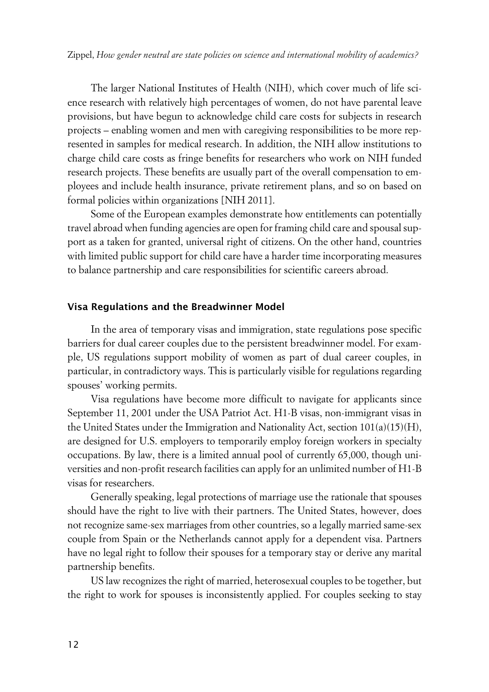The larger National Institutes of Health (NIH), which cover much of life science research with relatively high percentages of women, do not have parental leave provisions, but have begun to acknowledge child care costs for subjects in research projects – enabling women and men with caregiving responsibilities to be more represented in samples for medical research. In addition, the NIH allow institutions to charge child care costs as fringe benefits for researchers who work on NIH funded research projects. These benefits are usually part of the overall compensation to employees and include health insurance, private retirement plans, and so on based on formal policies within organizations [NIH 2011].

Some of the European examples demonstrate how entitlements can potentially travel abroad when funding agencies are open for framing child care and spousal support as a taken for granted, universal right of citizens. On the other hand, countries with limited public support for child care have a harder time incorporating measures to balance partnership and care responsibilities for scientific careers abroad.

#### **xVisa Regulations and the Breadwinner Model**

In the area of temporary visas and immigration, state regulations pose specific barriers for dual career couples due to the persistent breadwinner model. For example, US regulations support mobility of women as part of dual career couples, in particular, in contradictory ways. This is particularly visible for regulations regarding spouses' working permits.

Visa regulations have become more difficult to navigate for applicants since September 11, 2001 under the USA Patriot Act. H1-B visas, non-immigrant visas in the United States under the Immigration and Nationality Act, section 101(a)(15)(H), are designed for U.S. employers to temporarily employ foreign workers in specialty occupations. By law, there is a limited annual pool of currently 65,000, though universities and non-profit research facilities can apply for an unlimited number of H1-B visas for researchers.

Generally speaking, legal protections of marriage use the rationale that spouses should have the right to live with their partners. The United States, however, does not recognize same-sex marriages from other countries, so a legally married same-sex couple from Spain or the Netherlands cannot apply for a dependent visa. Partners have no legal right to follow their spouses for a temporary stay or derive any marital partnership benefits.

US law recognizes the right of married, heterosexual couples to be together, but the right to work for spouses is inconsistently applied. For couples seeking to stay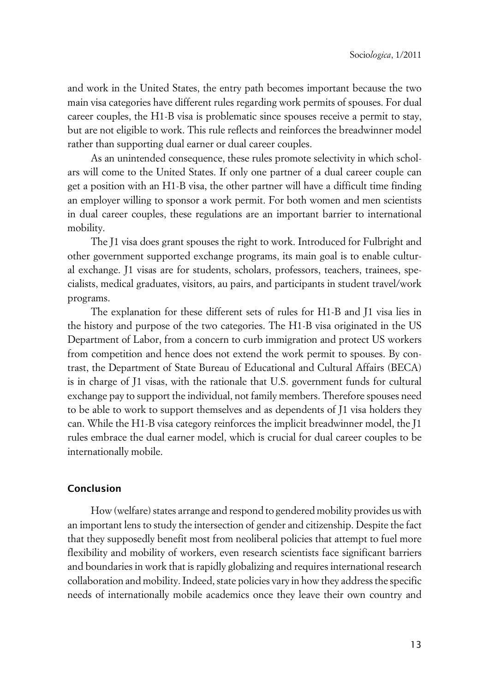and work in the United States, the entry path becomes important because the two main visa categories have different rules regarding work permits of spouses. For dual career couples, the H1-B visa is problematic since spouses receive a permit to stay, but are not eligible to work. This rule reflects and reinforces the breadwinner model rather than supporting dual earner or dual career couples.

As an unintended consequence, these rules promote selectivity in which scholars will come to the United States. If only one partner of a dual career couple can get a position with an H1-B visa, the other partner will have a difficult time finding an employer willing to sponsor a work permit. For both women and men scientists in dual career couples, these regulations are an important barrier to international mobility.

The J1 visa does grant spouses the right to work. Introduced for Fulbright and other government supported exchange programs, its main goal is to enable cultural exchange. J1 visas are for students, scholars, professors, teachers, trainees, specialists, medical graduates, visitors, au pairs, and participants in student travel/work programs.

The explanation for these different sets of rules for H1-B and J1 visa lies in the history and purpose of the two categories. The H1-B visa originated in the US Department of Labor, from a concern to curb immigration and protect US workers from competition and hence does not extend the work permit to spouses. By contrast, the Department of State Bureau of Educational and Cultural Affairs (BECA) is in charge of J1 visas, with the rationale that U.S. government funds for cultural exchange pay to support the individual, not family members. Therefore spouses need to be able to work to support themselves and as dependents of J1 visa holders they can. While the H1-B visa category reinforces the implicit breadwinner model, the J1 rules embrace the dual earner model, which is crucial for dual career couples to be internationally mobile.

### **Conclusion**

How (welfare) states arrange and respond to gendered mobility provides us with an important lens to study the intersection of gender and citizenship. Despite the fact that they supposedly benefit most from neoliberal policies that attempt to fuel more flexibility and mobility of workers, even research scientists face significant barriers and boundaries in work that is rapidly globalizing and requires international research collaboration and mobility. Indeed, state policies vary in how they address the specific needs of internationally mobile academics once they leave their own country and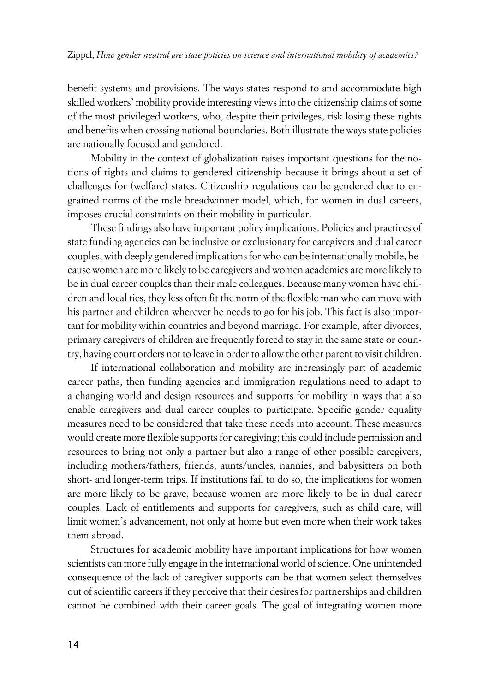benefit systems and provisions. The ways states respond to and accommodate high skilled workers' mobility provide interesting views into the citizenship claims of some of the most privileged workers, who, despite their privileges, risk losing these rights and benefits when crossing national boundaries. Both illustrate the ways state policies are nationally focused and gendered.

Mobility in the context of globalization raises important questions for the notions of rights and claims to gendered citizenship because it brings about a set of challenges for (welfare) states. Citizenship regulations can be gendered due to engrained norms of the male breadwinner model, which, for women in dual careers, imposes crucial constraints on their mobility in particular.

These findings also have important policy implications. Policies and practices of state funding agencies can be inclusive or exclusionary for caregivers and dual career couples, with deeply gendered implications for who can be internationally mobile, because women are more likely to be caregivers and women academics are more likely to be in dual career couples than their male colleagues. Because many women have children and local ties, they less often fit the norm of the flexible man who can move with his partner and children wherever he needs to go for his job. This fact is also important for mobility within countries and beyond marriage. For example, after divorces, primary caregivers of children are frequently forced to stay in the same state or country, having court orders not to leave in order to allow the other parent to visit children.

If international collaboration and mobility are increasingly part of academic career paths, then funding agencies and immigration regulations need to adapt to a changing world and design resources and supports for mobility in ways that also enable caregivers and dual career couples to participate. Specific gender equality measures need to be considered that take these needs into account. These measures would create more flexible supports for caregiving; this could include permission and resources to bring not only a partner but also a range of other possible caregivers, including mothers/fathers, friends, aunts/uncles, nannies, and babysitters on both short- and longer-term trips. If institutions fail to do so, the implications for women are more likely to be grave, because women are more likely to be in dual career couples. Lack of entitlements and supports for caregivers, such as child care, will limit women's advancement, not only at home but even more when their work takes them abroad.

Structures for academic mobility have important implications for how women scientists can more fully engage in the international world of science. One unintended consequence of the lack of caregiver supports can be that women select themselves out of scientific careers if they perceive that their desires for partnerships and children cannot be combined with their career goals. The goal of integrating women more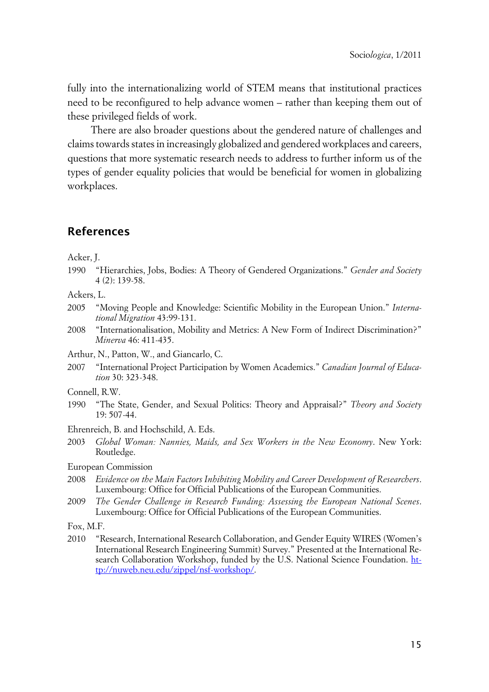fully into the internationalizing world of STEM means that institutional practices need to be reconfigured to help advance women – rather than keeping them out of these privileged fields of work.

There are also broader questions about the gendered nature of challenges and claims towards states in increasingly globalized and gendered workplaces and careers, questions that more systematic research needs to address to further inform us of the types of gender equality policies that would be beneficial for women in globalizing workplaces.

## **References**

Acker, J.

1990 "Hierarchies, Jobs, Bodies: A Theory of Gendered Organizations." *Gender and Society* 4 (2): 139-58.

Ackers, L.

- 2005 "Moving People and Knowledge: Scientific Mobility in the European Union." *International Migration* 43:99-131.
- 2008 "Internationalisation, Mobility and Metrics: A New Form of Indirect Discrimination?" *Minerva* 46: 411-435.
- Arthur, N., Patton, W., and Giancarlo, C.
- 2007 "International Project Participation by Women Academics." *Canadian Journal of Education* 30: 323-348.
- Connell, R.W.
- 1990 "The State, Gender, and Sexual Politics: Theory and Appraisal?" *Theory and Society* 19: 507-44.
- Ehrenreich, B. and Hochschild, A. Eds.
- 2003 *Global Woman: Nannies, Maids, and Sex Workers in the New Economy*. New York: Routledge.
- European Commission
- 2008 *Evidence on the Main Factors Inhibiting Mobility and Career Development of Researchers*. Luxembourg: Office for Official Publications of the European Communities.
- 2009 *The Gender Challenge in Research Funding: Assessing the European National Scenes*. Luxembourg: Office for Official Publications of the European Communities.

Fox, M.F.

2010 "Research, International Research Collaboration, and Gender Equity WIRES (Women's International Research Engineering Summit) Survey." Presented at the International Research Collaboration Workshop, funded by the U.S. National Science Foundation. [ht](http://nuweb.neu.edu/zippel/nsf-workshop/)[tp://nuweb.neu.edu/zippel/nsf-workshop/](http://nuweb.neu.edu/zippel/nsf-workshop/).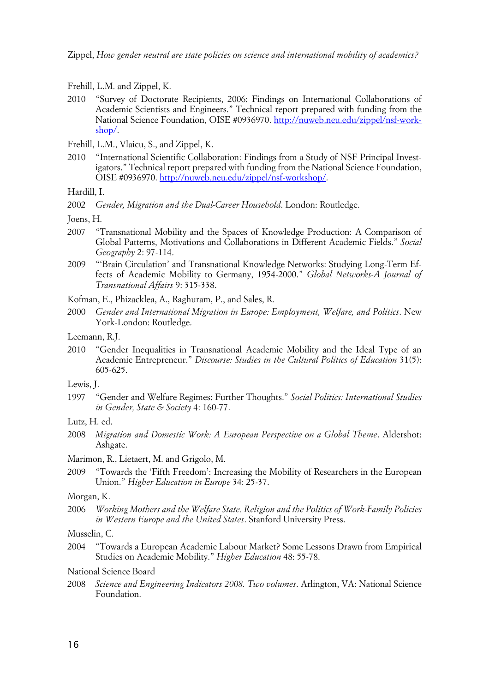Zippel, *How gender neutral are state policies on science and international mobility of academics?*

- Frehill, L.M. and Zippel, K.
- 2010 "Survey of Doctorate Recipients, 2006: Findings on International Collaborations of Academic Scientists and Engineers." Technical report prepared with funding from the National Science Foundation, OISE #0936970. [http://nuweb.neu.edu/zippel/nsf-work](http://nuweb.neu.edu/zippel/nsf-workshop/)[shop/](http://nuweb.neu.edu/zippel/nsf-workshop/).
- Frehill, L.M., Vlaicu, S., and Zippel, K.
- 2010 "International Scientific Collaboration: Findings from a Study of NSF Principal Investigators." Technical report prepared with funding from the National Science Foundation, OISE #0936970. [http://nuweb.neu.edu/zippel/nsf-workshop/.](http://nuweb.neu.edu/zippel/nsf-workshop/)

Hardill, I.

2002 *Gender, Migration and the Dual-Career Household*. London: Routledge.

Joens, H.

- 2007 "Transnational Mobility and the Spaces of Knowledge Production: A Comparison of Global Patterns, Motivations and Collaborations in Different Academic Fields." *Social Geography* 2: 97-114.
- 2009 "'Brain Circulation' and Transnational Knowledge Networks: Studying Long-Term Effects of Academic Mobility to Germany, 1954-2000." *Global Networks-A Journal of Transnational Affairs* 9: 315-338.

Kofman, E., Phizacklea, A., Raghuram, P., and Sales, R.

2000 *Gender and International Migration in Europe: Employment, Welfare, and Politics*. New York-London: Routledge.

Leemann, R.J.

2010 "Gender Inequalities in Transnational Academic Mobility and the Ideal Type of an Academic Entrepreneur." *Discourse: Studies in the Cultural Politics of Education* 31(5): 605-625.

Lewis, J.

1997 "Gender and Welfare Regimes: Further Thoughts." *Social Politics: International Studies in Gender, State & Society* 4: 160-77.

- 2008 *Migration and Domestic Work: A European Perspective on a Global Theme*. Aldershot: Ashgate.
- Marimon, R., Lietaert, M. and Grigolo, M.
- 2009 "Towards the 'Fifth Freedom': Increasing the Mobility of Researchers in the European Union." *Higher Education in Europe* 34: 25-37.

#### Morgan, K.

2006 *Working Mothers and the Welfare State. Religion and the Politics of Work-Family Policies in Western Europe and the United States*. Stanford University Press.

Musselin, C.

2004 "Towards a European Academic Labour Market? Some Lessons Drawn from Empirical Studies on Academic Mobility." *Higher Education* 48: 55-78.

#### National Science Board

2008 *Science and Engineering Indicators 2008. Two volumes*. Arlington, VA: National Science Foundation.

Lutz, H. ed.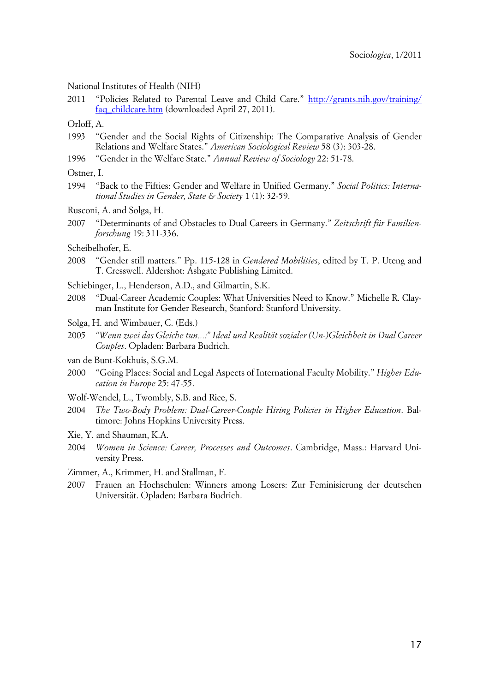#### National Institutes of Health (NIH)

2011 "Policies Related to Parental Leave and Child Care." [http://grants.nih.gov/training/](http://grants.nih.gov/training/faq_childcare.htm) [faq\\_childcare.htm](http://grants.nih.gov/training/faq_childcare.htm) (downloaded April 27, 2011).

Orloff, A.

- 1993 "Gender and the Social Rights of Citizenship: The Comparative Analysis of Gender Relations and Welfare States." *American Sociological Review* 58 (3): 303-28.
- 1996 "Gender in the Welfare State." *Annual Review of Sociology* 22: 51-78.

Ostner, I.

1994 "Back to the Fifties: Gender and Welfare in Unified Germany." *Social Politics: International Studies in Gender, State & Society* 1 (1): 32-59.

Rusconi, A. and Solga, H.

- 2007 "Determinants of and Obstacles to Dual Careers in Germany." *Zeitschrift für Familienforschung* 19: 311-336.
- Scheibelhofer, E.
- 2008 "Gender still matters." Pp. 115-128 in *Gendered Mobilities*, edited by T. P. Uteng and T. Cresswell. Aldershot: Ashgate Publishing Limited.
- Schiebinger, L., Henderson, A.D., and Gilmartin, S.K.
- 2008 "Dual-Career Academic Couples: What Universities Need to Know." Michelle R. Clayman Institute for Gender Research, Stanford: Stanford University.
- Solga, H. and Wimbauer, C. (Eds.)
- 2005 *"Wenn zwei das Gleiche tun...:" Ideal und Realität sozialer (Un-)Gleichheit in Dual Career Couples*. Opladen: Barbara Budrich.
- van de Bunt-Kokhuis, S.G.M.
- 2000 "Going Places: Social and Legal Aspects of International Faculty Mobility." *Higher Education in Europe* 25: 47-55.
- Wolf-Wendel, L., Twombly, S.B. and Rice, S.
- 2004 *The Two-Body Problem: Dual-Career-Couple Hiring Policies in Higher Education*. Baltimore: Johns Hopkins University Press.
- Xie, Y. and Shauman, K.A.
- 2004 *Women in Science: Career, Processes and Outcomes*. Cambridge, Mass.: Harvard University Press.
- Zimmer, A., Krimmer, H. and Stallman, F.
- 2007 Frauen an Hochschulen: Winners among Losers: Zur Feminisierung der deutschen Universität. Opladen: Barbara Budrich.